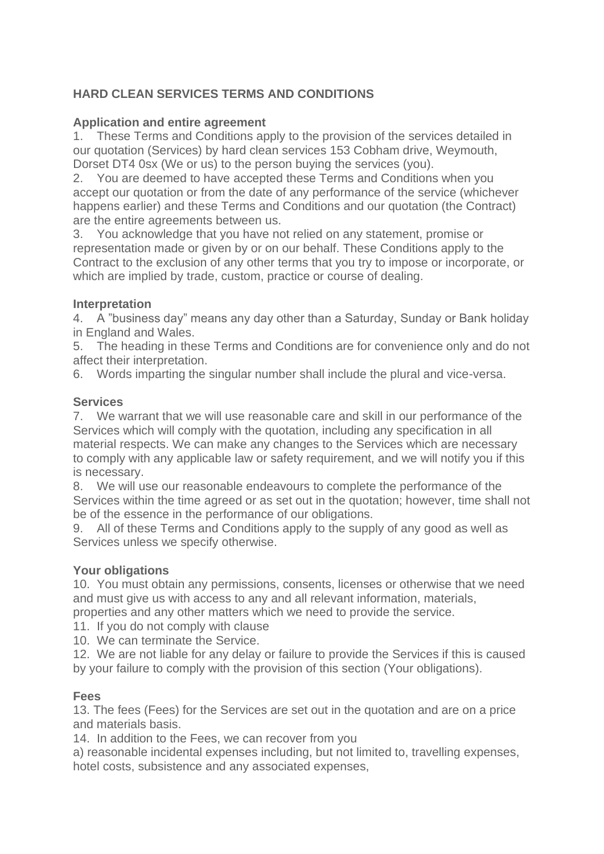# **HARD CLEAN SERVICES TERMS AND CONDITIONS**

### **Application and entire agreement**

1. These Terms and Conditions apply to the provision of the services detailed in our quotation (Services) by hard clean services 153 Cobham drive, Weymouth, Dorset DT4 0sx (We or us) to the person buying the services (you).

2. You are deemed to have accepted these Terms and Conditions when you accept our quotation or from the date of any performance of the service (whichever happens earlier) and these Terms and Conditions and our quotation (the Contract) are the entire agreements between us.

3. You acknowledge that you have not relied on any statement, promise or representation made or given by or on our behalf. These Conditions apply to the Contract to the exclusion of any other terms that you try to impose or incorporate, or which are implied by trade, custom, practice or course of dealing.

### **Interpretation**

4. A "business day" means any day other than a Saturday, Sunday or Bank holiday in England and Wales.

5. The heading in these Terms and Conditions are for convenience only and do not affect their interpretation.

6. Words imparting the singular number shall include the plural and vice-versa.

### **Services**

7. We warrant that we will use reasonable care and skill in our performance of the Services which will comply with the quotation, including any specification in all material respects. We can make any changes to the Services which are necessary to comply with any applicable law or safety requirement, and we will notify you if this is necessary.

8. We will use our reasonable endeavours to complete the performance of the Services within the time agreed or as set out in the quotation; however, time shall not be of the essence in the performance of our obligations.

9. All of these Terms and Conditions apply to the supply of any good as well as Services unless we specify otherwise.

### **Your obligations**

10. You must obtain any permissions, consents, licenses or otherwise that we need and must give us with access to any and all relevant information, materials, properties and any other matters which we need to provide the service.

11. If you do not comply with clause

10. We can terminate the Service.

12. We are not liable for any delay or failure to provide the Services if this is caused by your failure to comply with the provision of this section (Your obligations).

### **Fees**

13. The fees (Fees) for the Services are set out in the quotation and are on a price and materials basis.

14. In addition to the Fees, we can recover from you

a) reasonable incidental expenses including, but not limited to, travelling expenses, hotel costs, subsistence and any associated expenses,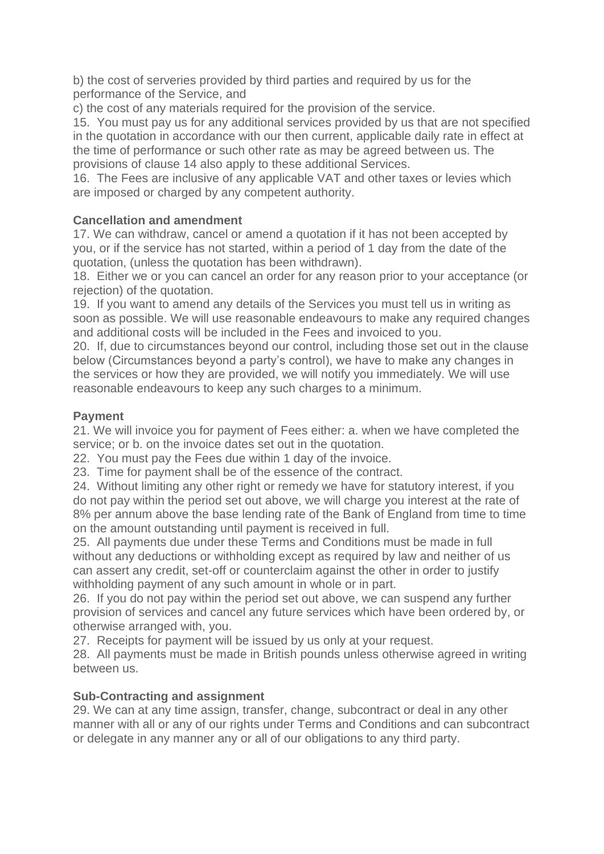b) the cost of serveries provided by third parties and required by us for the performance of the Service, and

c) the cost of any materials required for the provision of the service.

15. You must pay us for any additional services provided by us that are not specified in the quotation in accordance with our then current, applicable daily rate in effect at the time of performance or such other rate as may be agreed between us. The provisions of clause 14 also apply to these additional Services.

16. The Fees are inclusive of any applicable VAT and other taxes or levies which are imposed or charged by any competent authority.

## **Cancellation and amendment**

17. We can withdraw, cancel or amend a quotation if it has not been accepted by you, or if the service has not started, within a period of 1 day from the date of the quotation, (unless the quotation has been withdrawn).

18. Either we or you can cancel an order for any reason prior to your acceptance (or rejection) of the quotation.

19. If you want to amend any details of the Services you must tell us in writing as soon as possible. We will use reasonable endeavours to make any required changes and additional costs will be included in the Fees and invoiced to you.

20. If, due to circumstances beyond our control, including those set out in the clause below (Circumstances beyond a party's control), we have to make any changes in the services or how they are provided, we will notify you immediately. We will use reasonable endeavours to keep any such charges to a minimum.

# **Payment**

21. We will invoice you for payment of Fees either: a. when we have completed the service; or b. on the invoice dates set out in the quotation.

22. You must pay the Fees due within 1 day of the invoice.

23. Time for payment shall be of the essence of the contract.

24. Without limiting any other right or remedy we have for statutory interest, if you do not pay within the period set out above, we will charge you interest at the rate of 8% per annum above the base lending rate of the Bank of England from time to time on the amount outstanding until payment is received in full.

25. All payments due under these Terms and Conditions must be made in full without any deductions or withholding except as required by law and neither of us can assert any credit, set-off or counterclaim against the other in order to justify withholding payment of any such amount in whole or in part.

26. If you do not pay within the period set out above, we can suspend any further provision of services and cancel any future services which have been ordered by, or otherwise arranged with, you.

27. Receipts for payment will be issued by us only at your request.

28. All payments must be made in British pounds unless otherwise agreed in writing between us.

## **Sub-Contracting and assignment**

29. We can at any time assign, transfer, change, subcontract or deal in any other manner with all or any of our rights under Terms and Conditions and can subcontract or delegate in any manner any or all of our obligations to any third party.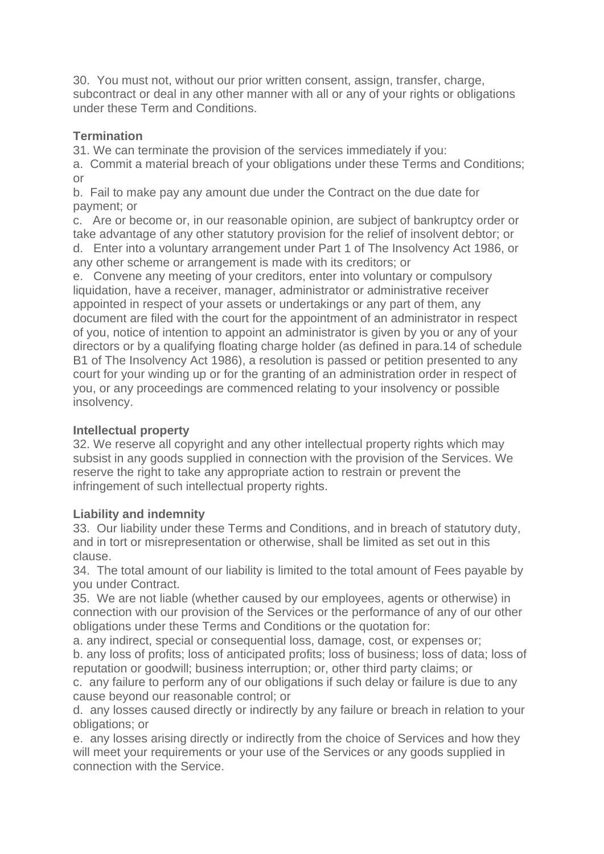30. You must not, without our prior written consent, assign, transfer, charge, subcontract or deal in any other manner with all or any of your rights or obligations under these Term and Conditions.

## **Termination**

31. We can terminate the provision of the services immediately if you:

a. Commit a material breach of your obligations under these Terms and Conditions; or

b. Fail to make pay any amount due under the Contract on the due date for payment; or

c. Are or become or, in our reasonable opinion, are subject of bankruptcy order or take advantage of any other statutory provision for the relief of insolvent debtor; or d. Enter into a voluntary arrangement under Part 1 of The Insolvency Act 1986, or any other scheme or arrangement is made with its creditors; or

e. Convene any meeting of your creditors, enter into voluntary or compulsory liquidation, have a receiver, manager, administrator or administrative receiver appointed in respect of your assets or undertakings or any part of them, any document are filed with the court for the appointment of an administrator in respect of you, notice of intention to appoint an administrator is given by you or any of your directors or by a qualifying floating charge holder (as defined in para.14 of schedule B1 of The Insolvency Act 1986), a resolution is passed or petition presented to any court for your winding up or for the granting of an administration order in respect of you, or any proceedings are commenced relating to your insolvency or possible insolvency.

## **Intellectual property**

32. We reserve all copyright and any other intellectual property rights which may subsist in any goods supplied in connection with the provision of the Services. We reserve the right to take any appropriate action to restrain or prevent the infringement of such intellectual property rights.

## **Liability and indemnity**

33. Our liability under these Terms and Conditions, and in breach of statutory duty, and in tort or misrepresentation or otherwise, shall be limited as set out in this clause.

34. The total amount of our liability is limited to the total amount of Fees payable by you under Contract.

35. We are not liable (whether caused by our employees, agents or otherwise) in connection with our provision of the Services or the performance of any of our other obligations under these Terms and Conditions or the quotation for:

a. any indirect, special or consequential loss, damage, cost, or expenses or; b. any loss of profits; loss of anticipated profits; loss of business; loss of data; loss of reputation or goodwill; business interruption; or, other third party claims; or

c. any failure to perform any of our obligations if such delay or failure is due to any cause beyond our reasonable control; or

d. any losses caused directly or indirectly by any failure or breach in relation to your obligations; or

e. any losses arising directly or indirectly from the choice of Services and how they will meet your requirements or your use of the Services or any goods supplied in connection with the Service.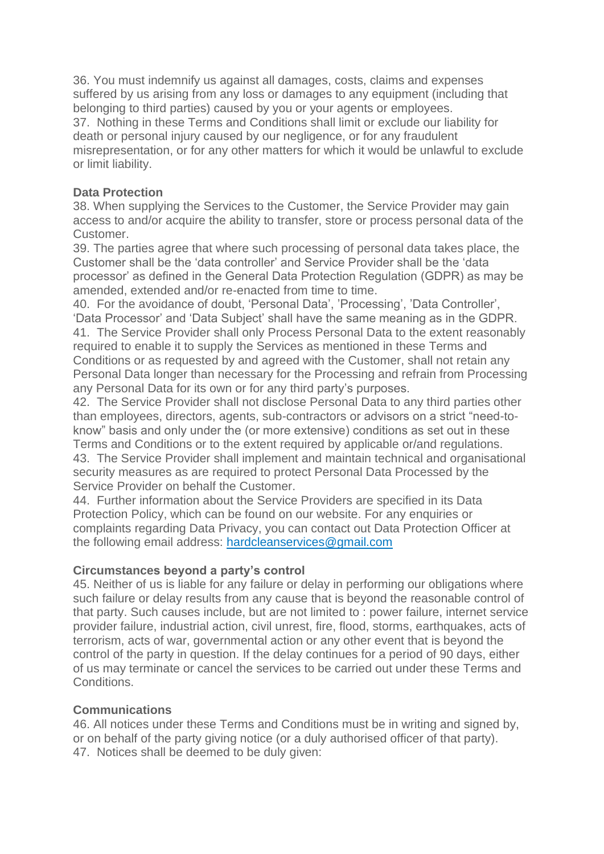36. You must indemnify us against all damages, costs, claims and expenses suffered by us arising from any loss or damages to any equipment (including that belonging to third parties) caused by you or your agents or employees. 37. Nothing in these Terms and Conditions shall limit or exclude our liability for death or personal injury caused by our negligence, or for any fraudulent misrepresentation, or for any other matters for which it would be unlawful to exclude or limit liability.

### **Data Protection**

38. When supplying the Services to the Customer, the Service Provider may gain access to and/or acquire the ability to transfer, store or process personal data of the Customer.

39. The parties agree that where such processing of personal data takes place, the Customer shall be the 'data controller' and Service Provider shall be the 'data processor' as defined in the General Data Protection Regulation (GDPR) as may be amended, extended and/or re-enacted from time to time.

40. For the avoidance of doubt, 'Personal Data', 'Processing', 'Data Controller', 'Data Processor' and 'Data Subject' shall have the same meaning as in the GDPR. 41. The Service Provider shall only Process Personal Data to the extent reasonably required to enable it to supply the Services as mentioned in these Terms and Conditions or as requested by and agreed with the Customer, shall not retain any Personal Data longer than necessary for the Processing and refrain from Processing any Personal Data for its own or for any third party's purposes.

42. The Service Provider shall not disclose Personal Data to any third parties other than employees, directors, agents, sub-contractors or advisors on a strict "need-toknow" basis and only under the (or more extensive) conditions as set out in these Terms and Conditions or to the extent required by applicable or/and regulations. 43. The Service Provider shall implement and maintain technical and organisational security measures as are required to protect Personal Data Processed by the Service Provider on behalf the Customer.

44. Further information about the Service Providers are specified in its Data Protection Policy, which can be found on our website. For any enquiries or complaints regarding Data Privacy, you can contact out Data Protection Officer at the following email address: [hardcleanservices@gmail.com](mailto:hardcleanservices@gmail.com)

### **Circumstances beyond a party's control**

45. Neither of us is liable for any failure or delay in performing our obligations where such failure or delay results from any cause that is beyond the reasonable control of that party. Such causes include, but are not limited to : power failure, internet service provider failure, industrial action, civil unrest, fire, flood, storms, earthquakes, acts of terrorism, acts of war, governmental action or any other event that is beyond the control of the party in question. If the delay continues for a period of 90 days, either of us may terminate or cancel the services to be carried out under these Terms and Conditions.

### **Communications**

46. All notices under these Terms and Conditions must be in writing and signed by, or on behalf of the party giving notice (or a duly authorised officer of that party). 47. Notices shall be deemed to be duly given: